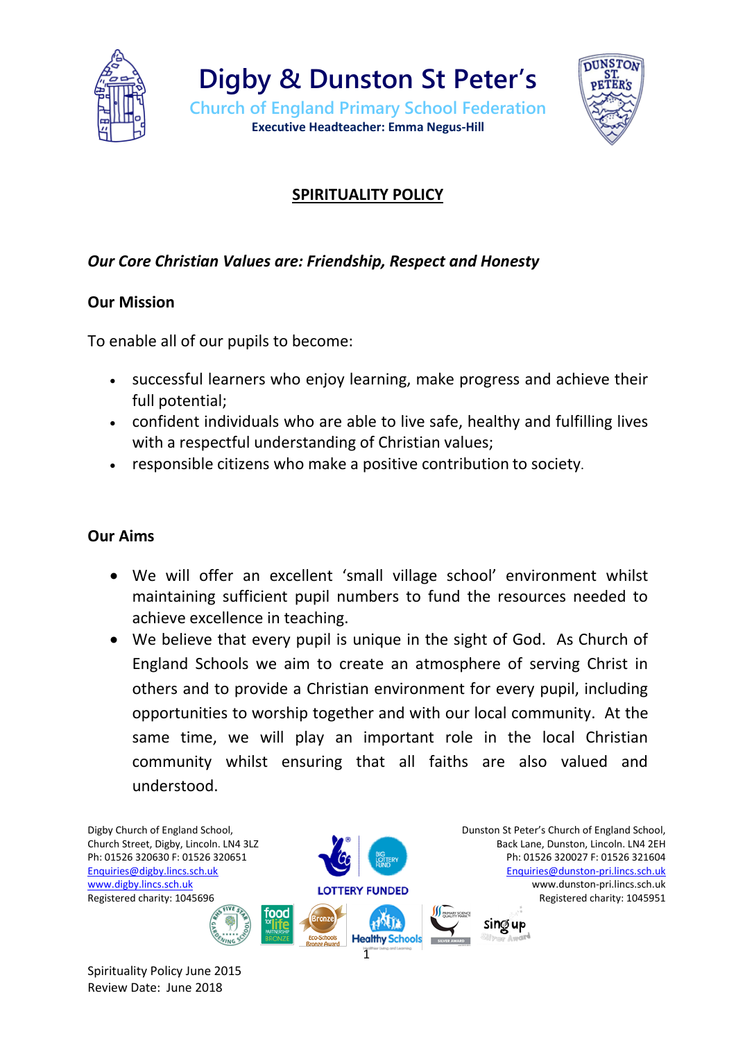



# **SPIRITUALITY POLICY**

## *Our Core Christian Values are: Friendship, Respect and Honesty*

### **Our Mission**

To enable all of our pupils to become:

- successful learners who enjoy learning, make progress and achieve their full potential;
- confident individuals who are able to live safe, healthy and fulfilling lives with a respectful understanding of Christian values;
- responsible citizens who make a positive contribution to society.

### **Our Aims**

- We will offer an excellent 'small village school' environment whilst maintaining sufficient pupil numbers to fund the resources needed to achieve excellence in teaching.
- We believe that every pupil is unique in the sight of God. As Church of England Schools we aim to create an atmosphere of serving Christ in others and to provide a Christian environment for every pupil, including opportunities to worship together and with our local community. At the same time, we will play an important role in the local Christian community whilst ensuring that all faiths are also valued and understood.



Spirituality Policy June 2015 Review Date: June 2018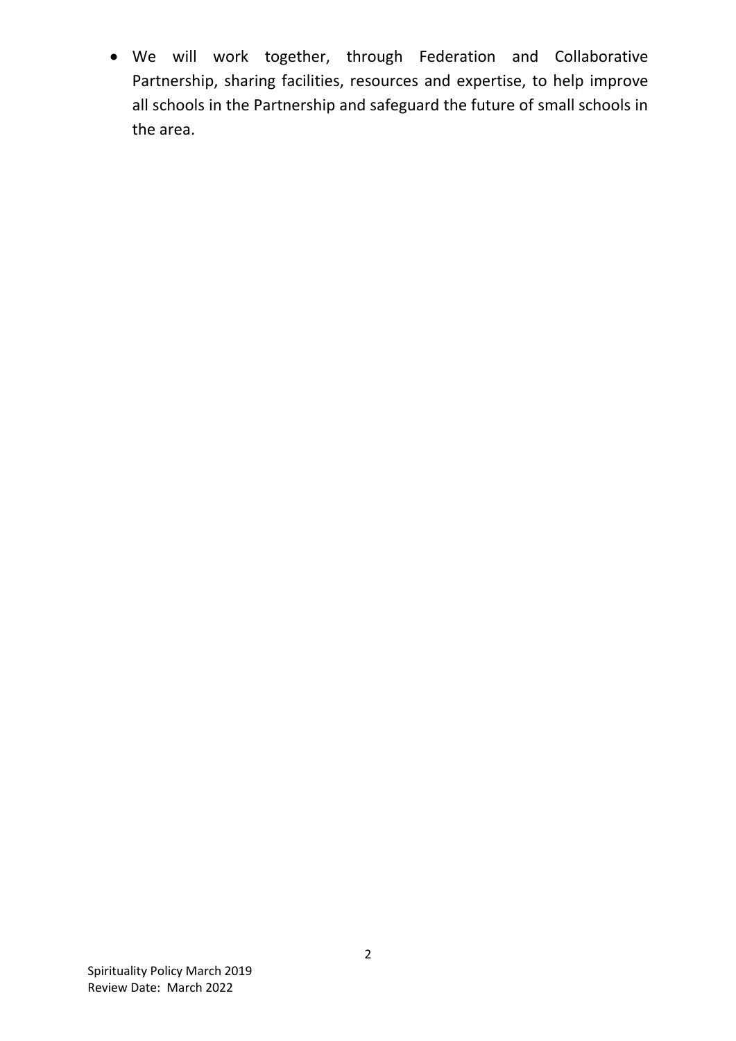We will work together, through Federation and Collaborative Partnership, sharing facilities, resources and expertise, to help improve all schools in the Partnership and safeguard the future of small schools in the area.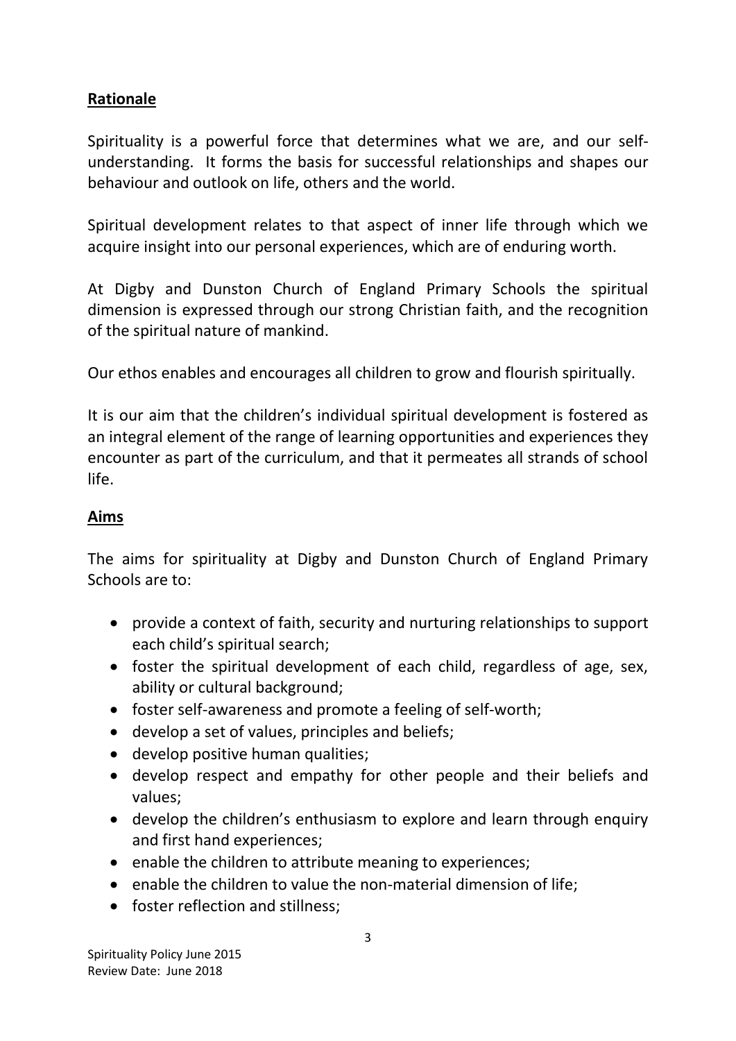## **Rationale**

Spirituality is a powerful force that determines what we are, and our selfunderstanding. It forms the basis for successful relationships and shapes our behaviour and outlook on life, others and the world.

Spiritual development relates to that aspect of inner life through which we acquire insight into our personal experiences, which are of enduring worth.

At Digby and Dunston Church of England Primary Schools the spiritual dimension is expressed through our strong Christian faith, and the recognition of the spiritual nature of mankind.

Our ethos enables and encourages all children to grow and flourish spiritually.

It is our aim that the children's individual spiritual development is fostered as an integral element of the range of learning opportunities and experiences they encounter as part of the curriculum, and that it permeates all strands of school life.

### **Aims**

The aims for spirituality at Digby and Dunston Church of England Primary Schools are to:

- provide a context of faith, security and nurturing relationships to support each child's spiritual search;
- foster the spiritual development of each child, regardless of age, sex, ability or cultural background;
- foster self-awareness and promote a feeling of self-worth;
- develop a set of values, principles and beliefs;
- develop positive human qualities;
- develop respect and empathy for other people and their beliefs and values;
- develop the children's enthusiasm to explore and learn through enquiry and first hand experiences;
- enable the children to attribute meaning to experiences;
- enable the children to value the non-material dimension of life;
- foster reflection and stillness: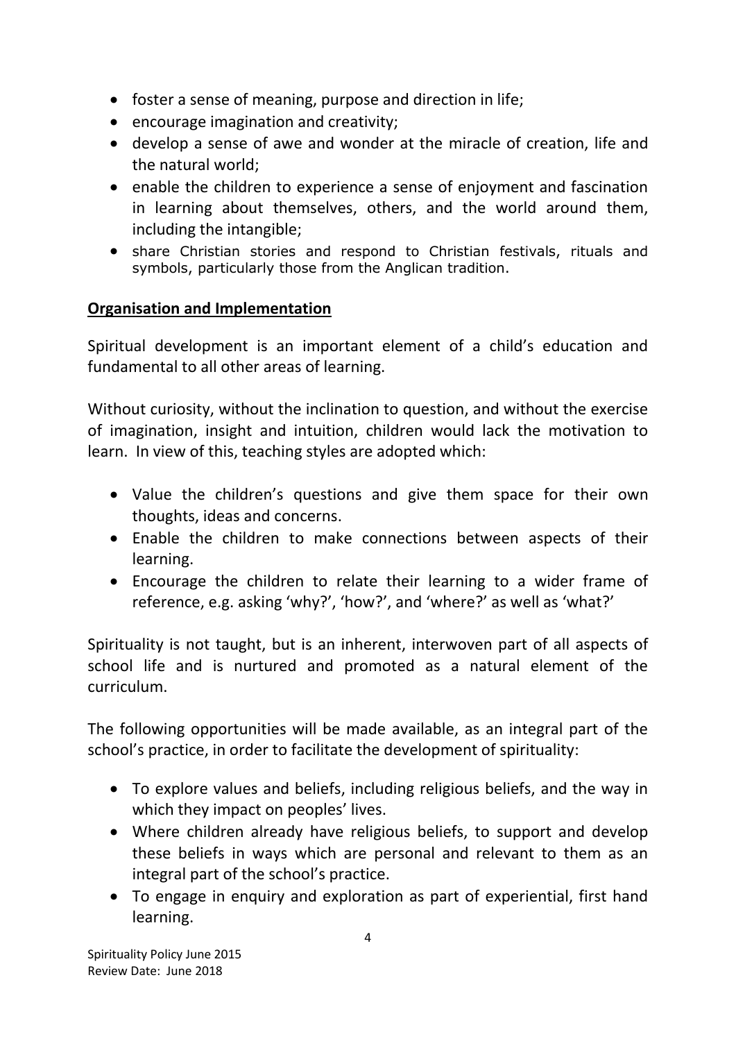- foster a sense of meaning, purpose and direction in life;
- encourage imagination and creativity;
- develop a sense of awe and wonder at the miracle of creation, life and the natural world;
- enable the children to experience a sense of enjoyment and fascination in learning about themselves, others, and the world around them, including the intangible;
- share Christian stories and respond to Christian festivals, rituals and symbols, particularly those from the Anglican tradition.

### **Organisation and Implementation**

Spiritual development is an important element of a child's education and fundamental to all other areas of learning.

Without curiosity, without the inclination to question, and without the exercise of imagination, insight and intuition, children would lack the motivation to learn. In view of this, teaching styles are adopted which:

- Value the children's questions and give them space for their own thoughts, ideas and concerns.
- Enable the children to make connections between aspects of their learning.
- Encourage the children to relate their learning to a wider frame of reference, e.g. asking 'why?', 'how?', and 'where?' as well as 'what?'

Spirituality is not taught, but is an inherent, interwoven part of all aspects of school life and is nurtured and promoted as a natural element of the curriculum.

The following opportunities will be made available, as an integral part of the school's practice, in order to facilitate the development of spirituality:

- To explore values and beliefs, including religious beliefs, and the way in which they impact on peoples' lives.
- Where children already have religious beliefs, to support and develop these beliefs in ways which are personal and relevant to them as an integral part of the school's practice.
- To engage in enquiry and exploration as part of experiential, first hand learning.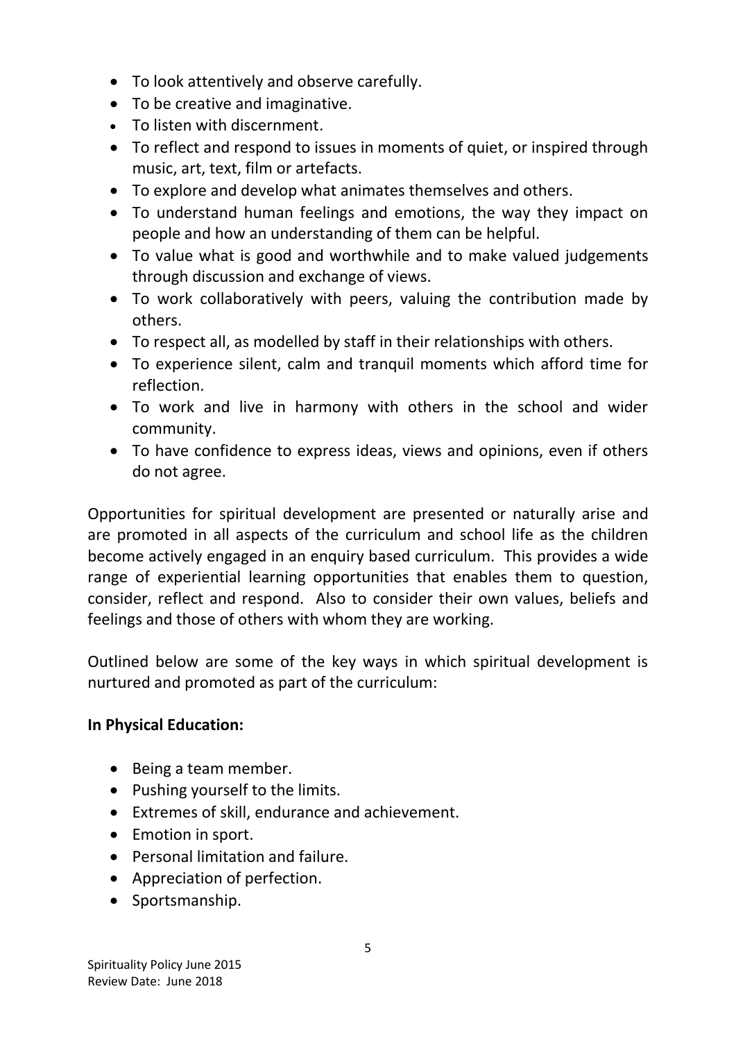- To look attentively and observe carefully.
- To be creative and imaginative.
- To listen with discernment.
- To reflect and respond to issues in moments of quiet, or inspired through music, art, text, film or artefacts.
- To explore and develop what animates themselves and others.
- To understand human feelings and emotions, the way they impact on people and how an understanding of them can be helpful.
- To value what is good and worthwhile and to make valued judgements through discussion and exchange of views.
- To work collaboratively with peers, valuing the contribution made by others.
- To respect all, as modelled by staff in their relationships with others.
- To experience silent, calm and tranquil moments which afford time for reflection.
- To work and live in harmony with others in the school and wider community.
- To have confidence to express ideas, views and opinions, even if others do not agree.

Opportunities for spiritual development are presented or naturally arise and are promoted in all aspects of the curriculum and school life as the children become actively engaged in an enquiry based curriculum. This provides a wide range of experiential learning opportunities that enables them to question, consider, reflect and respond. Also to consider their own values, beliefs and feelings and those of others with whom they are working.

Outlined below are some of the key ways in which spiritual development is nurtured and promoted as part of the curriculum:

### **In Physical Education:**

- Being a team member.
- Pushing yourself to the limits.
- Extremes of skill, endurance and achievement.
- Emotion in sport.
- Personal limitation and failure.
- Appreciation of perfection.
- Sportsmanship.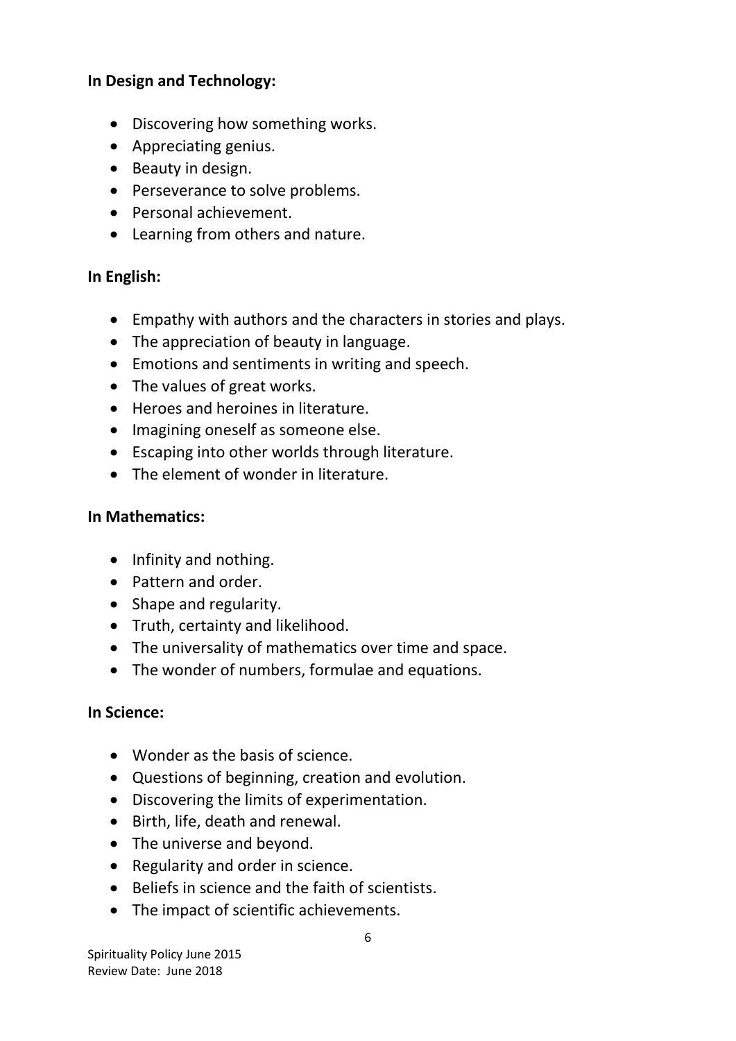#### **In Design and Technology:**

- Discovering how something works.
- Appreciating genius.
- Beauty in design.
- Perseverance to solve problems.
- Personal achievement.
- Learning from others and nature.

#### **In English:**

- Empathy with authors and the characters in stories and plays.
- The appreciation of beauty in language.
- Emotions and sentiments in writing and speech.
- The values of great works.
- Heroes and heroines in literature.
- Imagining oneself as someone else.
- Escaping into other worlds through literature.
- The element of wonder in literature.

#### **In Mathematics:**

- Infinity and nothing.
- Pattern and order.
- Shape and regularity.
- Truth, certainty and likelihood.
- The universality of mathematics over time and space.
- The wonder of numbers, formulae and equations.

### **In Science:**

- Wonder as the basis of science.
- Questions of beginning, creation and evolution.
- Discovering the limits of experimentation.
- Birth, life, death and renewal.
- The universe and beyond.
- Regularity and order in science.
- Beliefs in science and the faith of scientists.
- The impact of scientific achievements.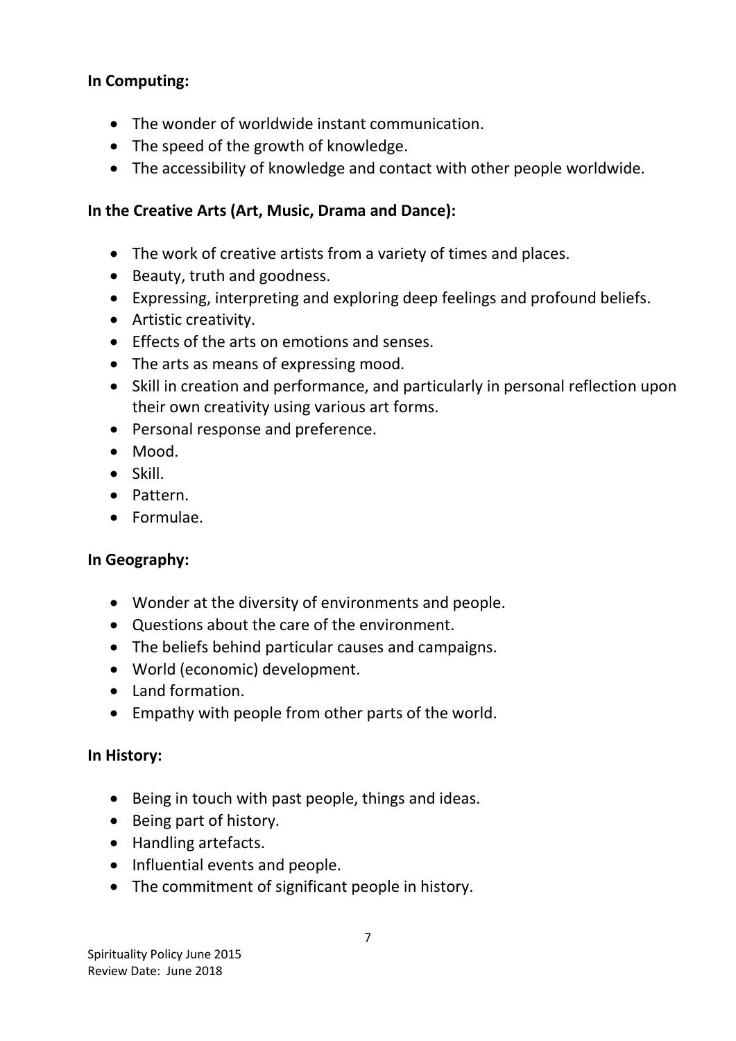### **In Computing:**

- The wonder of worldwide instant communication.
- The speed of the growth of knowledge.
- The accessibility of knowledge and contact with other people worldwide.

### **In the Creative Arts (Art, Music, Drama and Dance):**

- The work of creative artists from a variety of times and places.
- Beauty, truth and goodness.
- Expressing, interpreting and exploring deep feelings and profound beliefs.
- Artistic creativity.
- **Effects of the arts on emotions and senses.**
- The arts as means of expressing mood.
- Skill in creation and performance, and particularly in personal reflection upon their own creativity using various art forms.
- Personal response and preference.
- Mood.
- $\bullet$  Skill.
- Pattern.
- Formulae.

### **In Geography:**

- Wonder at the diversity of environments and people.
- Questions about the care of the environment.
- The beliefs behind particular causes and campaigns.
- World (economic) development.
- Land formation.
- Empathy with people from other parts of the world.

#### **In History:**

- Being in touch with past people, things and ideas.
- Being part of history.
- Handling artefacts.
- Influential events and people.
- The commitment of significant people in history.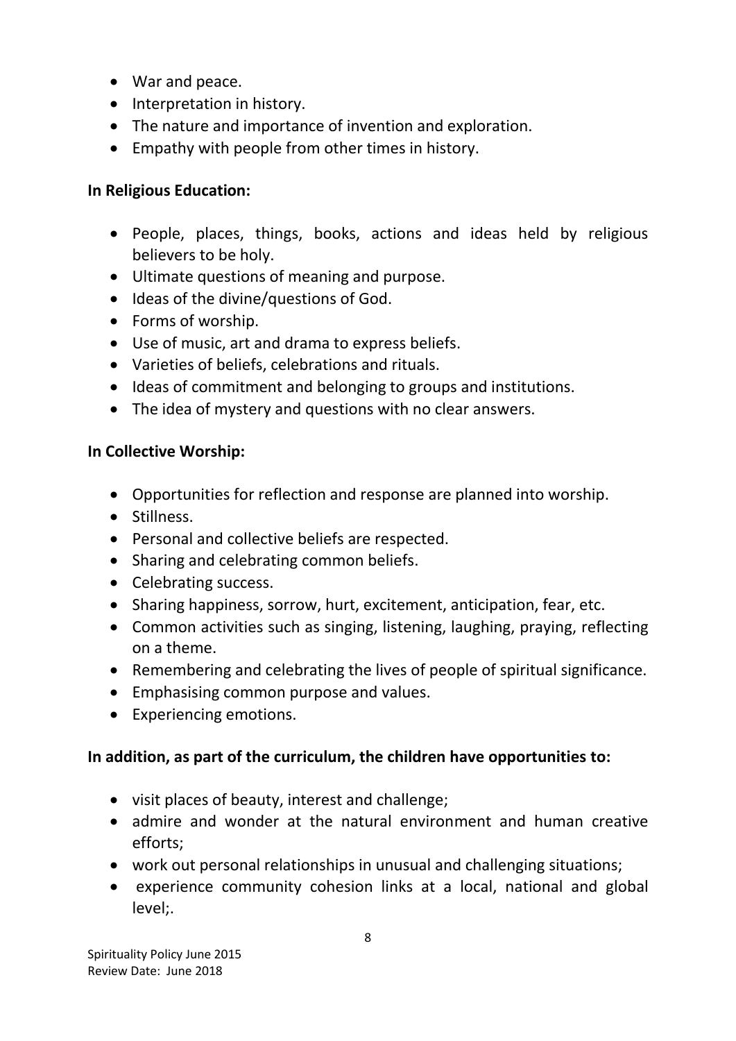- War and peace.
- Interpretation in history.
- The nature and importance of invention and exploration.
- Empathy with people from other times in history.

### **In Religious Education:**

- People, places, things, books, actions and ideas held by religious believers to be holy.
- Ultimate questions of meaning and purpose.
- Ideas of the divine/questions of God.
- Forms of worship.
- Use of music, art and drama to express beliefs.
- Varieties of beliefs, celebrations and rituals.
- $\bullet$  Ideas of commitment and belonging to groups and institutions.
- The idea of mystery and questions with no clear answers.

### **In Collective Worship:**

- Opportunities for reflection and response are planned into worship.
- Stillness.
- Personal and collective beliefs are respected.
- Sharing and celebrating common beliefs.
- Celebrating success.
- Sharing happiness, sorrow, hurt, excitement, anticipation, fear, etc.
- Common activities such as singing, listening, laughing, praying, reflecting on a theme.
- Remembering and celebrating the lives of people of spiritual significance.
- Emphasising common purpose and values.
- Experiencing emotions.

### **In addition, as part of the curriculum, the children have opportunities to:**

- visit places of beauty, interest and challenge;
- admire and wonder at the natural environment and human creative efforts;
- work out personal relationships in unusual and challenging situations;
- experience community cohesion links at a local, national and global level;.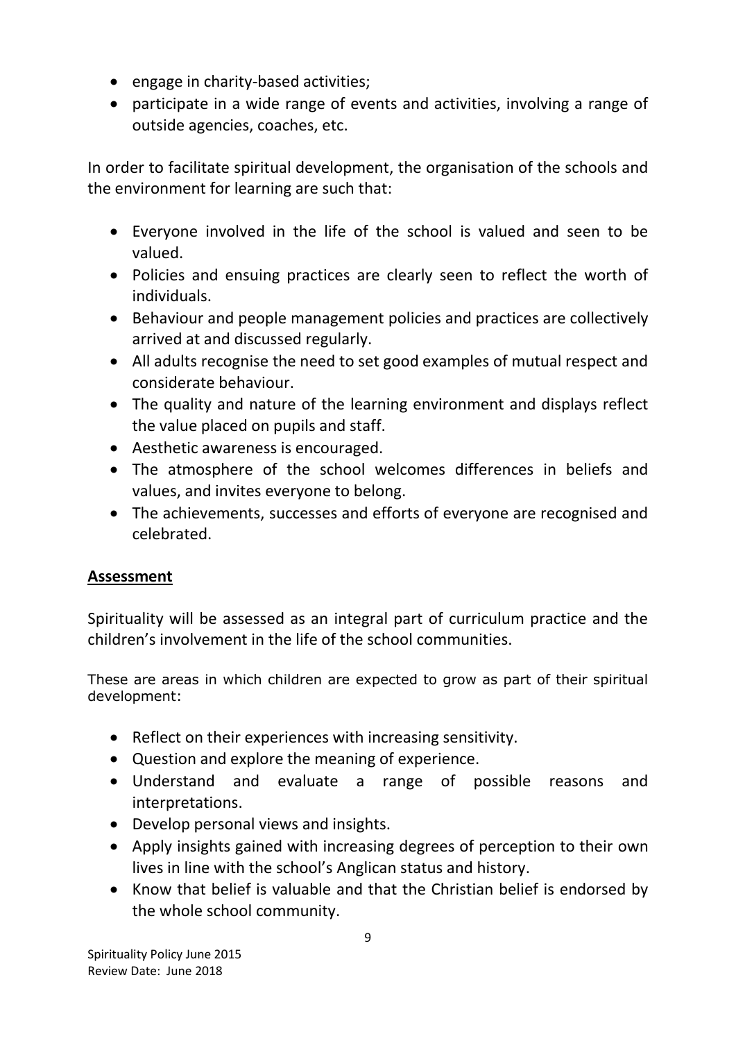- engage in charity-based activities;
- participate in a wide range of events and activities, involving a range of outside agencies, coaches, etc.

In order to facilitate spiritual development, the organisation of the schools and the environment for learning are such that:

- Everyone involved in the life of the school is valued and seen to be valued.
- Policies and ensuing practices are clearly seen to reflect the worth of individuals.
- Behaviour and people management policies and practices are collectively arrived at and discussed regularly.
- All adults recognise the need to set good examples of mutual respect and considerate behaviour.
- The quality and nature of the learning environment and displays reflect the value placed on pupils and staff.
- Aesthetic awareness is encouraged.
- The atmosphere of the school welcomes differences in beliefs and values, and invites everyone to belong.
- The achievements, successes and efforts of everyone are recognised and celebrated.

# **Assessment**

Spirituality will be assessed as an integral part of curriculum practice and the children's involvement in the life of the school communities.

These are areas in which children are expected to grow as part of their spiritual development:

- Reflect on their experiences with increasing sensitivity.
- Question and explore the meaning of experience.
- Understand and evaluate a range of possible reasons and interpretations.
- Develop personal views and insights.
- Apply insights gained with increasing degrees of perception to their own lives in line with the school's Anglican status and history.
- Know that belief is valuable and that the Christian belief is endorsed by the whole school community.